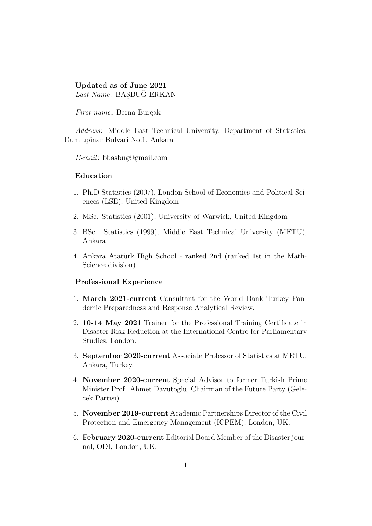# Updated as of June 2021 Last Name: BAŞBUĞ ERKAN

First name: Berna Burçak

Address: Middle East Technical University, Department of Statistics, Dumlupinar Bulvari No.1, Ankara

E-mail: bbasbug@gmail.com

# Education

- 1. Ph.D Statistics (2007), London School of Economics and Political Sciences (LSE), United Kingdom
- 2. MSc. Statistics (2001), University of Warwick, United Kingdom
- 3. BSc. Statistics (1999), Middle East Technical University (METU), Ankara
- 4. Ankara Atatürk High School ranked 2nd (ranked 1st in the Math-Science division)

#### Professional Experience

- 1. March 2021-current Consultant for the World Bank Turkey Pandemic Preparedness and Response Analytical Review.
- 2. 10-14 May 2021 Trainer for the Professional Training Certificate in Disaster Risk Reduction at the International Centre for Parliamentary Studies, London.
- 3. September 2020-current Associate Professor of Statistics at METU, Ankara, Turkey.
- 4. November 2020-current Special Advisor to former Turkish Prime Minister Prof. Ahmet Davutoglu, Chairman of the Future Party (Gelecek Partisi).
- 5. November 2019-current Academic Partnerships Director of the Civil Protection and Emergency Management (ICPEM), London, UK.
- 6. February 2020-current Editorial Board Member of the Disaster journal, ODI, London, UK.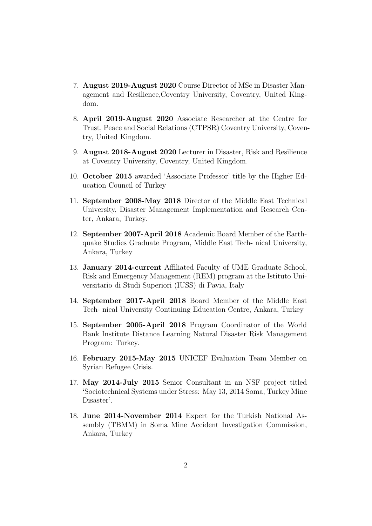- 7. August 2019-August 2020 Course Director of MSc in Disaster Management and Resilience,Coventry University, Coventry, United Kingdom.
- 8. April 2019-August 2020 Associate Researcher at the Centre for Trust, Peace and Social Relations (CTPSR) Coventry University, Coventry, United Kingdom.
- 9. August 2018-August 2020 Lecturer in Disaster, Risk and Resilience at Coventry University, Coventry, United Kingdom.
- 10. October 2015 awarded 'Associate Professor' title by the Higher Education Council of Turkey
- 11. September 2008-May 2018 Director of the Middle East Technical University, Disaster Management Implementation and Research Center, Ankara, Turkey.
- 12. September 2007-April 2018 Academic Board Member of the Earthquake Studies Graduate Program, Middle East Tech- nical University, Ankara, Turkey
- 13. January 2014-current Affiliated Faculty of UME Graduate School, Risk and Emergency Management (REM) program at the Istituto Universitario di Studi Superiori (IUSS) di Pavia, Italy
- 14. September 2017-April 2018 Board Member of the Middle East Tech- nical University Continuing Education Centre, Ankara, Turkey
- 15. September 2005-April 2018 Program Coordinator of the World Bank Institute Distance Learning Natural Disaster Risk Management Program: Turkey.
- 16. February 2015-May 2015 UNICEF Evaluation Team Member on Syrian Refugee Crisis.
- 17. May 2014-July 2015 Senior Consultant in an NSF project titled 'Sociotechnical Systems under Stress: May 13, 2014 Soma, Turkey Mine Disaster'.
- 18. June 2014-November 2014 Expert for the Turkish National Assembly (TBMM) in Soma Mine Accident Investigation Commission, Ankara, Turkey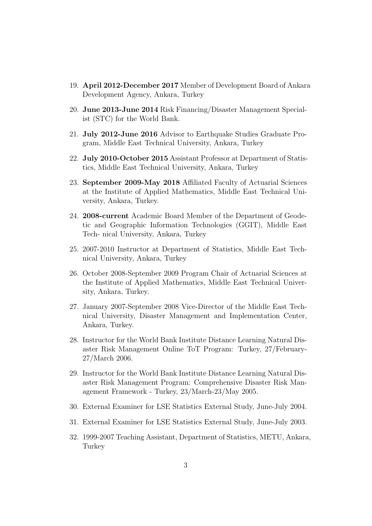- 19. April 2012-December 2017 Member of Development Board of Ankara Development Agency, Ankara, Turkey
- 20. June 2013-June 2014 Risk Financing/Disaster Management Specialist (STC) for the World Bank.
- 21. July 2012-June 2016 Advisor to Earthquake Studies Graduate Program, Middle East Technical University, Ankara, Turkey
- 22. July 2010-October 2015 Assistant Professor at Department of Statistics, Middle East Technical University, Ankara, Turkey
- 23. September 2009-May 2018 Affiliated Faculty of Actuarial Sciences at the Institute of Applied Mathematics, Middle East Technical University, Ankara, Turkey.
- 24. 2008-current Academic Board Member of the Department of Geodetic and Geographic Information Technologies (GGIT), Middle East Tech- nical University, Ankara, Turkey
- 25. 2007-2010 Instructor at Department of Statistics, Middle East Technical University, Ankara, Turkey
- 26. October 2008-September 2009 Program Chair of Actuarial Sciences at the Institute of Applied Mathematics, Middle East Technical University, Ankara, Turkey.
- 27. January 2007-September 2008 Vice-Director of the Middle East Technical University, Disaster Management and Implementation Center, Ankara, Turkey.
- 28. Instructor for the World Bank Institute Distance Learning Natural Disaster Risk Management Online ToT Program: Turkey, 27/February-27/March 2006.
- 29. Instructor for the World Bank Institute Distance Learning Natural Disaster Risk Management Program: Comprehensive Disaster Risk Management Framework - Turkey, 23/March-23/May 2005.
- 30. External Examiner for LSE Statistics External Study, June-July 2004.
- 31. External Examiner for LSE Statistics External Study, June-July 2003.
- 32. 1999-2007 Teaching Assistant, Department of Statistics, METU, Ankara, **Turkey**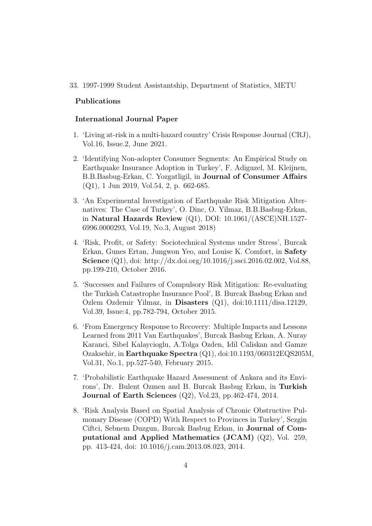## 33. 1997-1999 Student Assistantship, Department of Statistics, METU

## Publications

# International Journal Paper

- 1. 'Living at-risk in a multi-hazard country' Crisis Response Journal (CRJ), Vol.16, Issue.2, June 2021.
- 2. 'Identifying Non-adopter Consumer Segments: An Empirical Study on Earthquake Insurance Adoption in Turkey', F. Adiguzel, M. Kleijnen, B.B.Basbug-Erkan, C. Yozgatligil, in Journal of Consumer Affairs (Q1), 1 Jun 2019, Vol.54, 2, p. 662-685.
- 3. 'An Experimental Investigation of Earthquake Risk Mitigation Alternatives: The Case of Turkey', O. Dinc, O. Yilmaz, B.B.Basbug-Erkan, in Natural Hazards Review (Q1), DOI: 10.1061/(ASCE)NH.1527- 6996.0000293, Vol.19, No.3, August 2018)
- 4. 'Risk, Profit, or Safety: Sociotechnical Systems under Stress', Burcak Erkan, Gunes Ertan, Jungwon Yeo, and Louise K. Comfort, in Safety Science (Q1), doi: http://dx.doi.org/10.1016/j.ssci.2016.02.002, Vol.88, pp.199-210, October 2016.
- 5. 'Successes and Failures of Compulsory Risk Mitigation: Re-evaluating the Turkish Catastrophe Insurance Pool', B. Burcak Basbug Erkan and Ozlem Ozdemir Yilmaz, in Disasters (Q1), doi:10.1111/disa.12129, Vol.39, Issue:4, pp.782-794, October 2015.
- 6. 'From Emergency Response to Recovery: Multiple Impacts and Lessons Learned from 2011 Van Earthquakes', Burcak Basbug Erkan, A. Nuray Karanci, Sibel Kalaycioglu, A.Tolga Ozden, Idil Caliskan and Gamze Ozaksehir, in Earthquake Spectra (Q1), doi:10.1193/060312EQS205M, Vol.31, No.1, pp.527-540, February 2015.
- 7. 'Probabilistic Earthquake Hazard Assessment of Ankara and its Environs', Dr. Bulent Ozmen and B. Burcak Basbug Erkan, in Turkish Journal of Earth Sciences (Q2), Vol.23, pp.462-474, 2014.
- 8. 'Risk Analysis Based on Spatial Analysis of Chronic Obstructive Pulmonary Disease (COPD) With Respect to Provinces in Turkey', Sezgin Ciftci, Sebnem Duzgun, Burcak Basbug Erkan, in Journal of Computational and Applied Mathematics (JCAM) (Q2), Vol. 259, pp. 413-424, doi: 10.1016/j.cam.2013.08.023, 2014.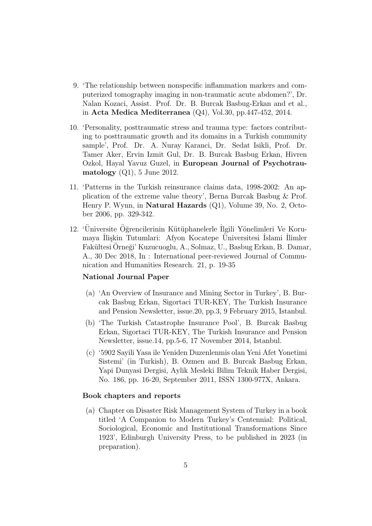- 9. 'The relationship between nonspecific inflammation markers and computerized tomography imaging in non-traumatic acute abdomen?', Dr. Nalan Kozaci, Assist. Prof. Dr. B. Burcak Basbug-Erkan and et al., in Acta Medica Mediterranea (Q4), Vol.30, pp.447-452, 2014.
- 10. 'Personality, posttraumatic stress and trauma type: factors contributing to posttraumatic growth and its domains in a Turkish community sample', Prof. Dr. A. Nuray Karanci, Dr. Sedat Isikli, Prof. Dr. Tamer Aker, Ervin Izmit Gul, Dr. B. Burcak Basbug Erkan, Hivren Ozkol, Hayal Yavuz Guzel, in European Journal of Psychotraumatology  $(Q1)$ , 5 June 2012.
- 11. 'Patterns in the Turkish reinsurance claims data, 1998-2002: An application of the extreme value theory', Berna Burcak Basbug & Prof. Henry P. Wynn, in Natural Hazards (Q1), Volume 39, No. 2, October 2006, pp. 329-342.
- 12. 'Üniversite Öğrencilerinin Kütüphanelerle İlgili Yönelimleri Ve Korumaya İlişkin Tutumlari: Afyon Kocatepe Üniversitesi İslami İlimler Fakültesi Orneği' Kuzucuoglu, A., Solmaz, U., Basbug Erkan, B. Damar, A., 30 Dec 2018, In : International peer-reviewed Journal of Communication and Humanities Research. 21, p. 19-35

# National Journal Paper

- (a) 'An Overview of Insurance and Mining Sector in Turkey', B. Burcak Basbug Erkan, Sigortaci TUR-KEY, The Turkish Insurance and Pension Newsletter, issue.20, pp.3, 9 February 2015, Istanbul.
- (b) 'The Turkish Catastrophe Insurance Pool', B. Burcak Basbug Erkan, Sigortaci TUR-KEY, The Turkish Insurance and Pension Newsletter, issue.14, pp.5-6, 17 November 2014, Istanbul.
- (c) '5902 Sayili Yasa ile Yeniden Duzenlenmis olan Yeni Afet Yonetimi Sistemi' (in Turkish), B. Ozmen and B. Burcak Basbug Erkan, Yapi Dunyasi Dergisi, Aylik Mesleki Bilim Teknik Haber Dergisi, No. 186, pp. 16-20, September 2011, ISSN 1300-977X, Ankara.

# Book chapters and reports

(a) Chapter on Disaster Risk Management System of Turkey in a book titled 'A Companion to Modern Turkey's Centennial: Political, Sociological, Economic and Institutional Transformations Since 1923', Edinburgh University Press, to be published in 2023 (in preparation).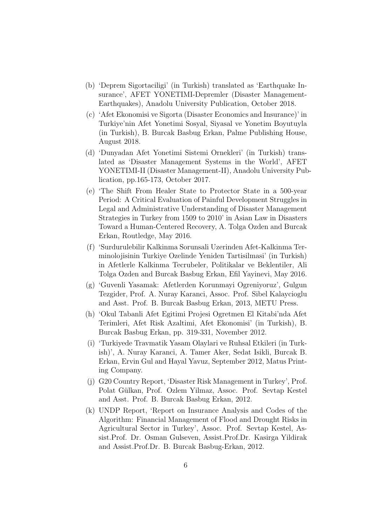- (b) 'Deprem Sigortaciligi' (in Turkish) translated as 'Earthquake Insurance', AFET YONETIMI-Depremler (Disaster Management-Earthquakes), Anadolu University Publication, October 2018.
- (c) 'Afet Ekonomisi ve Sigorta (Disaster Economics and Insurance)' in Turkiye'nin Afet Yonetimi Sosyal, Siyasal ve Yonetim Boyutuyla (in Turkish), B. Burcak Basbug Erkan, Palme Publishing House, August 2018.
- (d) 'Dunyadan Afet Yonetimi Sistemi Ornekleri' (in Turkish) translated as 'Disaster Management Systems in the World', AFET YONETIMI-II (Disaster Management-II), Anadolu University Publication, pp.165-173, October 2017.
- (e) 'The Shift From Healer State to Protector State in a 500-year Period: A Critical Evaluation of Painful Development Struggles in Legal and Administrative Understanding of Disaster Management Strategies in Turkey from 1509 to 2010' in Asian Law in Disasters Toward a Human-Centered Recovery, A. Tolga Ozden and Burcak Erkan, Routledge, May 2016.
- (f) 'Surdurulebilir Kalkinma Sorunsali Uzerinden Afet-Kalkinma Terminolojisinin Turkiye Ozelinde Yeniden Tartisilmasi' (in Turkish) in Afetlerle Kalkinma Tecrubeler, Politikalar ve Beklentiler, Ali Tolga Ozden and Burcak Basbug Erkan, Efil Yayinevi, May 2016.
- (g) 'Guvenli Yasamak: Afetlerden Korunmayi Ogreniyoruz', Gulgun Tezgider, Prof. A. Nuray Karanci, Assoc. Prof. Sibel Kalaycioglu and Asst. Prof. B. Burcak Basbug Erkan, 2013, METU Press.
- (h) 'Okul Tabanli Afet Egitimi Projesi Ogretmen El Kitabi'nda Afet Terimleri, Afet Risk Azaltimi, Afet Ekonomisi' (in Turkish), B. Burcak Basbug Erkan, pp. 319-331, November 2012.
- (i) 'Turkiyede Travmatik Yasam Olaylari ve Ruhsal Etkileri (in Turkish)', A. Nuray Karanci, A. Tamer Aker, Sedat Isikli, Burcak B. Erkan, Ervin Gul and Hayal Yavuz, September 2012, Matus Printing Company.
- (j) G20 Country Report, 'Disaster Risk Management in Turkey', Prof. Polat Gülkan, Prof. Ozlem Yilmaz, Assoc. Prof. Sevtap Kestel and Asst. Prof. B. Burcak Basbug Erkan, 2012.
- (k) UNDP Report, 'Report on Insurance Analysis and Codes of the Algorithm: Financial Management of Flood and Drought Risks in Agricultural Sector in Turkey', Assoc. Prof. Sevtap Kestel, Assist.Prof. Dr. Osman Gulseven, Assist.Prof.Dr. Kasirga Yildirak and Assist.Prof.Dr. B. Burcak Basbug-Erkan, 2012.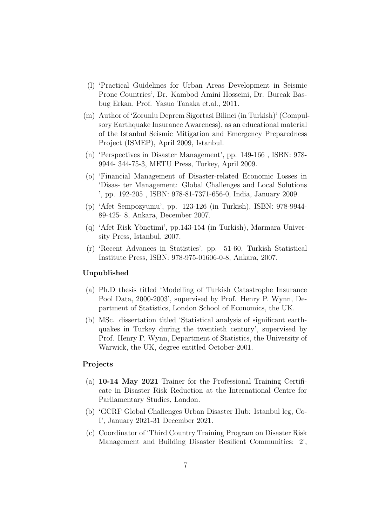- (l) 'Practical Guidelines for Urban Areas Development in Seismic Prone Countries', Dr. Kambod Amini Hosseini, Dr. Burcak Basbug Erkan, Prof. Yasuo Tanaka et.al., 2011.
- (m) Author of 'Zorunlu Deprem Sigortasi Bilinci (in Turkish)' (Compulsory Earthquake Insurance Awareness), as an educational material of the Istanbul Seismic Mitigation and Emergency Preparedness Project (ISMEP), April 2009, Istanbul.
- (n) 'Perspectives in Disaster Management', pp. 149-166 , ISBN: 978- 9944- 344-75-3, METU Press, Turkey, April 2009.
- (o) 'Financial Management of Disaster-related Economic Losses in 'Disas- ter Management: Global Challenges and Local Solutions ', pp. 192-205 , ISBN: 978-81-7371-656-0, India, January 2009.
- (p) 'Afet Sempozyumu', pp. 123-126 (in Turkish), ISBN: 978-9944- 89-425- 8, Ankara, December 2007.
- (q) 'Afet Risk Y¨onetimi', pp.143-154 (in Turkish), Marmara University Press, Istanbul, 2007.
- (r) 'Recent Advances in Statistics', pp. 51-60, Turkish Statistical Institute Press, ISBN: 978-975-01606-0-8, Ankara, 2007.

#### Unpublished

- (a) Ph.D thesis titled 'Modelling of Turkish Catastrophe Insurance Pool Data, 2000-2003', supervised by Prof. Henry P. Wynn, Department of Statistics, London School of Economics, the UK.
- (b) MSc. dissertation titled 'Statistical analysis of significant earthquakes in Turkey during the twentieth century', supervised by Prof. Henry P. Wynn, Department of Statistics, the University of Warwick, the UK, degree entitled October-2001.

# Projects

- (a) 10-14 May 2021 Trainer for the Professional Training Certificate in Disaster Risk Reduction at the International Centre for Parliamentary Studies, London.
- (b) 'GCRF Global Challenges Urban Disaster Hub: Istanbul leg, Co-I', January 2021-31 December 2021.
- (c) Coordinator of 'Third Country Training Program on Disaster Risk Management and Building Disaster Resilient Communities: 2',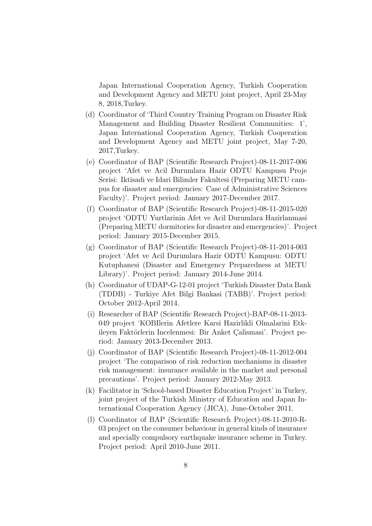Japan International Cooperation Agency, Turkish Cooperation and Development Agency and METU joint project, April 23-May 8, 2018,Turkey.

- (d) Coordinator of 'Third Country Training Program on Disaster Risk Management and Building Disaster Resilient Communities: 1', Japan International Cooperation Agency, Turkish Cooperation and Development Agency and METU joint project, May 7-20, 2017,Turkey.
- (e) Coordinator of BAP (Scientific Research Project)-08-11-2017-006 project 'Afet ve Acil Durumlara Hazir ODTU Kampusu Proje Serisi: Iktisadi ve Idari Bilimler Fakultesi (Preparing METU campus for disaster and emergencies: Case of Administrative Sciences Faculty)'. Project period: January 2017-December 2017.
- (f) Coordinator of BAP (Scientific Research Project)-08-11-2015-020 project 'ODTU Yurtlarinin Afet ve Acil Durumlara Hazirlanmasi (Preparing METU dormitories for disaster and emergencies)'. Project period: January 2015-December 2015.
- (g) Coordinator of BAP (Scientific Research Project)-08-11-2014-003 project 'Afet ve Acil Durumlara Hazir ODTU Kampusu: ODTU Kutuphanesi (Disaster and Emergency Preparedness at METU Library)'. Project period: January 2014-June 2014.
- (h) Coordinator of UDAP-G-12-01 project 'Turkish Disaster Data Bank (TDDB) - Turkiye Afet Bilgi Bankasi (TABB)'. Project period: October 2012-April 2014.
- (i) Researcher of BAP (Scientific Research Project)-BAP-08-11-2013- 049 project 'KOBIlerin Afetlere Karsi Hazirlikli Olmalarini Etkileyen Faktörlerin Incelenmesi: Bir Anket Calismasi'. Project period: January 2013-December 2013.
- (j) Coordinator of BAP (Scientific Research Project)-08-11-2012-004 project 'The comparison of risk reduction mechanisms in disaster risk management: insurance available in the market and personal precautions'. Project period: January 2012-May 2013.
- (k) Facilitator in 'School-based Disaster Education Project' in Turkey, joint project of the Turkish Ministry of Education and Japan International Cooperation Agency (JICA), June-October 2011.
- (l) Coordinator of BAP (Scientific Research Project)-08-11-2010-R-03 project on the consumer behaviour in general kinds of insurance and specially compulsory earthquake insurance scheme in Turkey. Project period: April 2010-June 2011.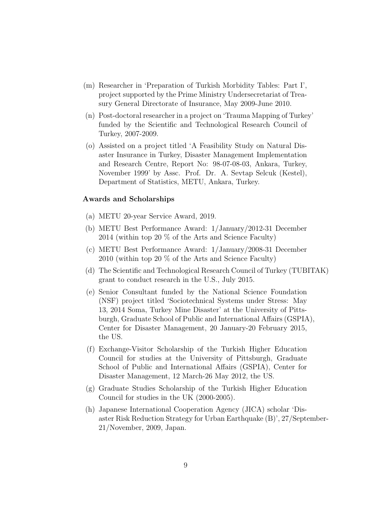- (m) Researcher in 'Preparation of Turkish Morbidity Tables: Part I', project supported by the Prime Ministry Undersecretariat of Treasury General Directorate of Insurance, May 2009-June 2010.
- (n) Post-doctoral researcher in a project on 'Trauma Mapping of Turkey' funded by the Scientific and Technological Research Council of Turkey, 2007-2009.
- (o) Assisted on a project titled 'A Feasibility Study on Natural Disaster Insurance in Turkey, Disaster Management Implementation and Research Centre, Report No: 98-07-08-03, Ankara, Turkey, November 1999' by Assc. Prof. Dr. A. Sevtap Selcuk (Kestel), Department of Statistics, METU, Ankara, Turkey.

#### Awards and Scholarships

- (a) METU 20-year Service Award, 2019.
- (b) METU Best Performance Award: 1/January/2012-31 December 2014 (within top 20 % of the Arts and Science Faculty)
- (c) METU Best Performance Award: 1/January/2008-31 December 2010 (within top 20 % of the Arts and Science Faculty)
- (d) The Scientific and Technological Research Council of Turkey (TUBITAK) grant to conduct research in the U.S., July 2015.
- (e) Senior Consultant funded by the National Science Foundation (NSF) project titled 'Sociotechnical Systems under Stress: May 13, 2014 Soma, Turkey Mine Disaster' at the University of Pittsburgh, Graduate School of Public and International Affairs (GSPIA), Center for Disaster Management, 20 January-20 February 2015, the US.
- (f) Exchange-Visitor Scholarship of the Turkish Higher Education Council for studies at the University of Pittsburgh, Graduate School of Public and International Affairs (GSPIA), Center for Disaster Management, 12 March-26 May 2012, the US.
- (g) Graduate Studies Scholarship of the Turkish Higher Education Council for studies in the UK (2000-2005).
- (h) Japanese International Cooperation Agency (JICA) scholar 'Disaster Risk Reduction Strategy for Urban Earthquake (B)', 27/September-21/November, 2009, Japan.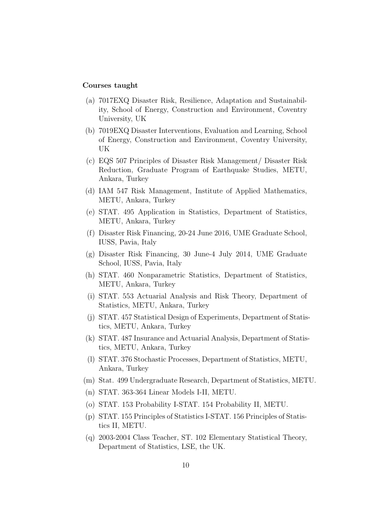# Courses taught

- (a) 7017EXQ Disaster Risk, Resilience, Adaptation and Sustainability, School of Energy, Construction and Environment, Coventry University, UK
- (b) 7019EXQ Disaster Interventions, Evaluation and Learning, School of Energy, Construction and Environment, Coventry University, UK
- (c) EQS 507 Principles of Disaster Risk Management/ Disaster Risk Reduction, Graduate Program of Earthquake Studies, METU, Ankara, Turkey
- (d) IAM 547 Risk Management, Institute of Applied Mathematics, METU, Ankara, Turkey
- (e) STAT. 495 Application in Statistics, Department of Statistics, METU, Ankara, Turkey
- (f) Disaster Risk Financing, 20-24 June 2016, UME Graduate School, IUSS, Pavia, Italy
- (g) Disaster Risk Financing, 30 June-4 July 2014, UME Graduate School, IUSS, Pavia, Italy
- (h) STAT. 460 Nonparametric Statistics, Department of Statistics, METU, Ankara, Turkey
- (i) STAT. 553 Actuarial Analysis and Risk Theory, Department of Statistics, METU, Ankara, Turkey
- (j) STAT. 457 Statistical Design of Experiments, Department of Statistics, METU, Ankara, Turkey
- (k) STAT. 487 Insurance and Actuarial Analysis, Department of Statistics, METU, Ankara, Turkey
- (l) STAT. 376 Stochastic Processes, Department of Statistics, METU, Ankara, Turkey
- (m) Stat. 499 Undergraduate Research, Department of Statistics, METU.
- (n) STAT. 363-364 Linear Models I-II, METU.
- (o) STAT. 153 Probability I-STAT. 154 Probability II, METU.
- (p) STAT. 155 Principles of Statistics I-STAT. 156 Principles of Statistics II, METU.
- (q) 2003-2004 Class Teacher, ST. 102 Elementary Statistical Theory, Department of Statistics, LSE, the UK.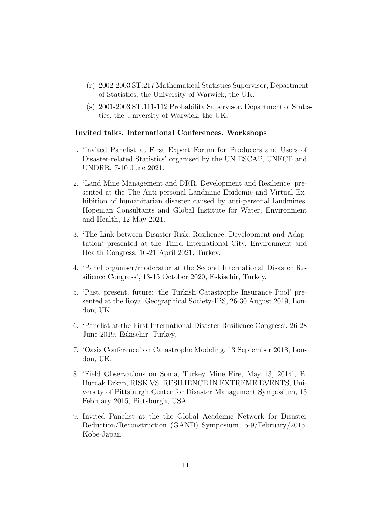- (r) 2002-2003 ST.217 Mathematical Statistics Supervisor, Department of Statistics, the University of Warwick, the UK.
- (s) 2001-2003 ST.111-112 Probability Supervisor, Department of Statistics, the University of Warwick, the UK.

# Invited talks, International Conferences, Workshops

- 1. 'Invited Panelist at First Expert Forum for Producers and Users of Disaster-related Statistics' organised by the UN ESCAP, UNECE and UNDRR, 7-10 June 2021.
- 2. 'Land Mine Management and DRR, Development and Resilience' presented at the The Anti-personal Landmine Epidemic and Virtual Exhibition of humanitarian disaster caused by anti-personal landmines, Hopeman Consultants and Global Institute for Water, Environment and Health, 12 May 2021.
- 3. 'The Link between Disaster Risk, Resilience, Development and Adaptation' presented at the Third International City, Environment and Health Congress, 16-21 April 2021, Turkey.
- 4. 'Panel organiser/moderator at the Second International Disaster Resilience Congress', 13-15 October 2020, Eskisehir, Turkey.
- 5. 'Past, present, future: the Turkish Catastrophe Insurance Pool' presented at the Royal Geographical Society-IBS, 26-30 August 2019, London, UK.
- 6. 'Panelist at the First International Disaster Resilience Congress', 26-28 June 2019, Eskisehir, Turkey.
- 7. 'Oasis Conference' on Catastrophe Modeling, 13 September 2018, London, UK.
- 8. 'Field Observations on Soma, Turkey Mine Fire, May 13, 2014', B. Burcak Erkan, RISK VS. RESILIENCE IN EXTREME EVENTS, University of Pittsburgh Center for Disaster Management Symposium, 13 February 2015, Pittsburgh, USA.
- 9. Invited Panelist at the the Global Academic Network for Disaster Reduction/Reconstruction (GAND) Symposium, 5-9/February/2015, Kobe-Japan.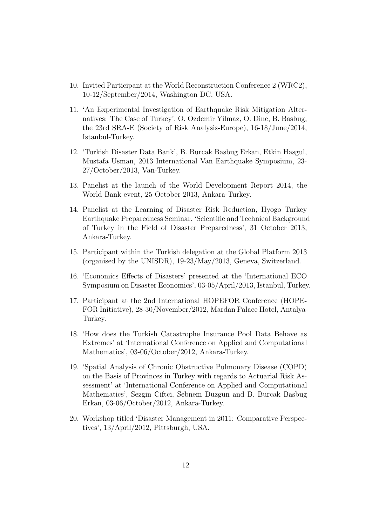- 10. Invited Participant at the World Reconstruction Conference 2 (WRC2), 10-12/September/2014, Washington DC, USA.
- 11. 'An Experimental Investigation of Earthquake Risk Mitigation Alternatives: The Case of Turkey', O. Ozdemir Yilmaz, O. Dinc, B. Basbug, the 23rd SRA-E (Society of Risk Analysis-Europe), 16-18/June/2014, Istanbul-Turkey.
- 12. 'Turkish Disaster Data Bank', B. Burcak Basbug Erkan, Etkin Hasgul, Mustafa Usman, 2013 International Van Earthquake Symposium, 23- 27/October/2013, Van-Turkey.
- 13. Panelist at the launch of the World Development Report 2014, the World Bank event, 25 October 2013, Ankara-Turkey.
- 14. Panelist at the Learning of Disaster Risk Reduction, Hyogo Turkey Earthquake Preparedness Seminar, 'Scientific and Technical Background of Turkey in the Field of Disaster Preparedness', 31 October 2013, Ankara-Turkey.
- 15. Participant within the Turkish delegation at the Global Platform 2013 (organised by the UNISDR), 19-23/May/2013, Geneva, Switzerland.
- 16. 'Economics Effects of Disasters' presented at the 'International ECO Symposium on Disaster Economics', 03-05/April/2013, Istanbul, Turkey.
- 17. Participant at the 2nd International HOPEFOR Conference (HOPE-FOR Initiative), 28-30/November/2012, Mardan Palace Hotel, Antalya-Turkey.
- 18. 'How does the Turkish Catastrophe Insurance Pool Data Behave as Extremes' at 'International Conference on Applied and Computational Mathematics', 03-06/October/2012, Ankara-Turkey.
- 19. 'Spatial Analysis of Chronic Obstructive Pulmonary Disease (COPD) on the Basis of Provinces in Turkey with regards to Actuarial Risk Assessment' at 'International Conference on Applied and Computational Mathematics', Sezgin Ciftci, Sebnem Duzgun and B. Burcak Basbug Erkan, 03-06/October/2012, Ankara-Turkey.
- 20. Workshop titled 'Disaster Management in 2011: Comparative Perspectives', 13/April/2012, Pittsburgh, USA.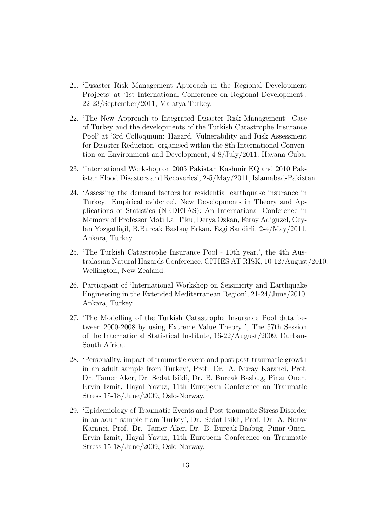- 21. 'Disaster Risk Management Approach in the Regional Development Projects' at '1st International Conference on Regional Development', 22-23/September/2011, Malatya-Turkey.
- 22. 'The New Approach to Integrated Disaster Risk Management: Case of Turkey and the developments of the Turkish Catastrophe Insurance Pool' at '3rd Colloquium: Hazard, Vulnerability and Risk Assessment for Disaster Reduction' organised within the 8th International Convention on Environment and Development, 4-8/July/2011, Havana-Cuba.
- 23. 'International Workshop on 2005 Pakistan Kashmir EQ and 2010 Pakistan Flood Disasters and Recoveries', 2-5/May/2011, Islamabad-Pakistan.
- 24. 'Assessing the demand factors for residential earthquake insurance in Turkey: Empirical evidence', New Developments in Theory and Applications of Statistics (NEDETAS): An International Conference in Memory of Professor Moti Lal Tiku, Derya Ozkan, Feray Adiguzel, Ceylan Yozgatligil, B.Burcak Basbug Erkan, Ezgi Sandirli, 2-4/May/2011, Ankara, Turkey.
- 25. 'The Turkish Catastrophe Insurance Pool 10th year.', the 4th Australasian Natural Hazards Conference, CITIES AT RISK, 10-12/August/2010, Wellington, New Zealand.
- 26. Participant of 'International Workshop on Seismicity and Earthquake Engineering in the Extended Mediterranean Region', 21-24/June/2010, Ankara, Turkey.
- 27. 'The Modelling of the Turkish Catastrophe Insurance Pool data between 2000-2008 by using Extreme Value Theory ', The 57th Session of the International Statistical Institute, 16-22/August/2009, Durban-South Africa.
- 28. 'Personality, impact of traumatic event and post post-traumatic growth in an adult sample from Turkey', Prof. Dr. A. Nuray Karanci, Prof. Dr. Tamer Aker, Dr. Sedat Isikli, Dr. B. Burcak Basbug, Pinar Onen, Ervin Izmit, Hayal Yavuz, 11th European Conference on Traumatic Stress 15-18/June/2009, Oslo-Norway.
- 29. 'Epidemiology of Traumatic Events and Post-traumatic Stress Disorder in an adult sample from Turkey', Dr. Sedat Isikli, Prof. Dr. A. Nuray Karanci, Prof. Dr. Tamer Aker, Dr. B. Burcak Basbug, Pinar Onen, Ervin Izmit, Hayal Yavuz, 11th European Conference on Traumatic Stress 15-18/June/2009, Oslo-Norway.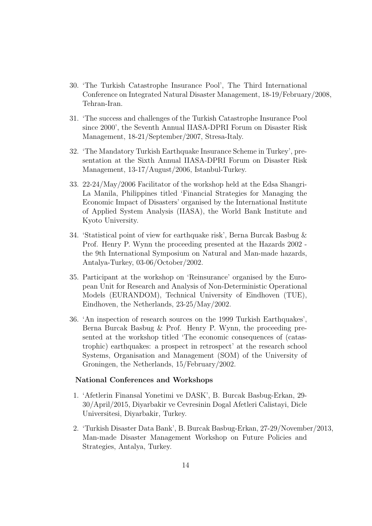- 30. 'The Turkish Catastrophe Insurance Pool', The Third International Conference on Integrated Natural Disaster Management, 18-19/February/2008, Tehran-Iran.
- 31. 'The success and challenges of the Turkish Catastrophe Insurance Pool since 2000', the Seventh Annual IIASA-DPRI Forum on Disaster Risk Management, 18-21/September/2007, Stresa-Italy.
- 32. 'The Mandatory Turkish Earthquake Insurance Scheme in Turkey', presentation at the Sixth Annual IIASA-DPRI Forum on Disaster Risk Management, 13-17/August/2006, Istanbul-Turkey.
- 33. 22-24/May/2006 Facilitator of the workshop held at the Edsa Shangri-La Manila, Philippines titled 'Financial Strategies for Managing the Economic Impact of Disasters' organised by the International Institute of Applied System Analysis (IIASA), the World Bank Institute and Kyoto University.
- 34. 'Statistical point of view for earthquake risk', Berna Burcak Basbug & Prof. Henry P. Wynn the proceeding presented at the Hazards 2002 the 9th International Symposium on Natural and Man-made hazards, Antalya-Turkey, 03-06/October/2002.
- 35. Participant at the workshop on 'Reinsurance' organised by the European Unit for Research and Analysis of Non-Deterministic Operational Models (EURANDOM), Technical University of Eindhoven (TUE), Eindhoven, the Netherlands, 23-25/May/2002.
- 36. 'An inspection of research sources on the 1999 Turkish Earthquakes', Berna Burcak Basbug & Prof. Henry P. Wynn, the proceeding presented at the workshop titled 'The economic consequences of (catastrophic) earthquakes: a prospect in retrospect' at the research school Systems, Organisation and Management (SOM) of the University of Groningen, the Netherlands, 15/February/2002.

#### National Conferences and Workshops

- 1. 'Afetlerin Finansal Yonetimi ve DASK', B. Burcak Basbug-Erkan, 29- 30/April/2015, Diyarbakir ve Cevresinin Dogal Afetleri Calistayi, Dicle Universitesi, Diyarbakir, Turkey.
- 2. 'Turkish Disaster Data Bank', B. Burcak Basbug-Erkan, 27-29/November/2013, Man-made Disaster Management Workshop on Future Policies and Strategies, Antalya, Turkey.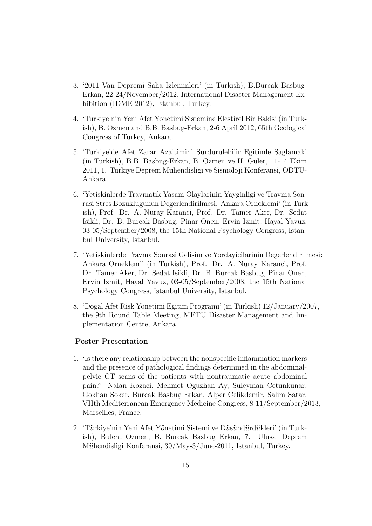- 3. '2011 Van Depremi Saha Izlenimleri' (in Turkish), B.Burcak Basbug-Erkan, 22-24/November/2012, International Disaster Management Exhibition (IDME 2012), Istanbul, Turkey.
- 4. 'Turkiye'nin Yeni Afet Yonetimi Sistemine Elestirel Bir Bakis' (in Turkish), B. Ozmen and B.B. Basbug-Erkan, 2-6 April 2012, 65th Geological Congress of Turkey, Ankara.
- 5. 'Turkiye'de Afet Zarar Azaltimini Surdurulebilir Egitimle Saglamak' (in Turkish), B.B. Basbug-Erkan, B. Ozmen ve H. Guler, 11-14 Ekim 2011, 1. Turkiye Deprem Muhendisligi ve Sismoloji Konferansi, ODTU-Ankara.
- 6. 'Yetiskinlerde Travmatik Yasam Olaylarinin Yayginligi ve Travma Sonrasi Stres Bozuklugunun Degerlendirilmesi: Ankara Orneklemi' (in Turkish), Prof. Dr. A. Nuray Karanci, Prof. Dr. Tamer Aker, Dr. Sedat Isikli, Dr. B. Burcak Basbug, Pinar Onen, Ervin Izmit, Hayal Yavuz, 03-05/September/2008, the 15th National Psychology Congress, Istanbul University, Istanbul.
- 7. 'Yetiskinlerde Travma Sonrasi Gelisim ve Yordayicilarinin Degerlendirilmesi: Ankara Orneklemi' (in Turkish), Prof. Dr. A. Nuray Karanci, Prof. Dr. Tamer Aker, Dr. Sedat Isikli, Dr. B. Burcak Basbug, Pinar Onen, Ervin Izmit, Hayal Yavuz, 03-05/September/2008, the 15th National Psychology Congress, Istanbul University, Istanbul.
- 8. 'Dogal Afet Risk Yonetimi Egitim Programi' (in Turkish) 12/January/2007, the 9th Round Table Meeting, METU Disaster Management and Implementation Centre, Ankara.

# Poster Presentation

- 1. 'Is there any relationship between the nonspecific inflammation markers and the presence of pathological findings determined in the abdominalpelvic CT scans of the patients with nontraumatic acute abdominal pain?' Nalan Kozaci, Mehmet Oguzhan Ay, Suleyman Cetunkunar, Gokhan Soker, Burcak Basbug Erkan, Alper Celikdemir, Salim Satar, VIIth Mediterranean Emergency Medicine Congress, 8-11/September/2013, Marseilles, France.
- 2. 'Türkiye'nin Yeni Afet Yönetimi Sistemi ve Düsündürdükleri' (in Turkish), Bulent Ozmen, B. Burcak Basbug Erkan, 7. Ulusal Deprem Mühendisligi Konferansi, 30/May-3/June-2011, Istanbul, Turkey.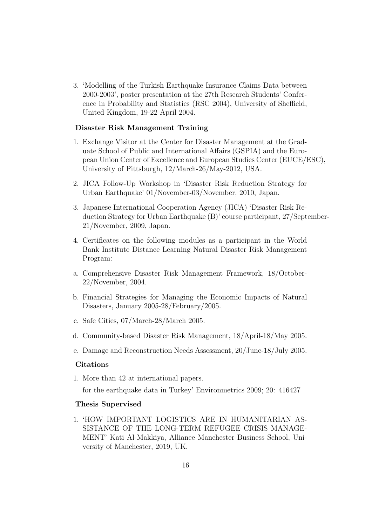3. 'Modelling of the Turkish Earthquake Insurance Claims Data between 2000-2003', poster presentation at the 27th Research Students' Conference in Probability and Statistics (RSC 2004), University of Sheffield, United Kingdom, 19-22 April 2004.

# Disaster Risk Management Training

- 1. Exchange Visitor at the Center for Disaster Management at the Graduate School of Public and International Affairs (GSPIA) and the European Union Center of Excellence and European Studies Center (EUCE/ESC), University of Pittsburgh, 12/March-26/May-2012, USA.
- 2. JICA Follow-Up Workshop in 'Disaster Risk Reduction Strategy for Urban Earthquake' 01/November-03/November, 2010, Japan.
- 3. Japanese International Cooperation Agency (JICA) 'Disaster Risk Reduction Strategy for Urban Earthquake (B)' course participant, 27/September-21/November, 2009, Japan.
- 4. Certificates on the following modules as a participant in the World Bank Institute Distance Learning Natural Disaster Risk Management Program:
- a. Comprehensive Disaster Risk Management Framework, 18/October-22/November, 2004.
- b. Financial Strategies for Managing the Economic Impacts of Natural Disasters, January 2005-28/February/2005.
- c. Safe Cities, 07/March-28/March 2005.
- d. Community-based Disaster Risk Management, 18/April-18/May 2005.
- e. Damage and Reconstruction Needs Assessment, 20/June-18/July 2005.

# Citations

1. More than 42 at international papers.

for the earthquake data in Turkey' Environmetrics 2009; 20: 416427

# Thesis Supervised

1. 'HOW IMPORTANT LOGISTICS ARE IN HUMANITARIAN AS-SISTANCE OF THE LONG-TERM REFUGEE CRISIS MANAGE-MENT' Kati Al-Makkiya, Alliance Manchester Business School, University of Manchester, 2019, UK.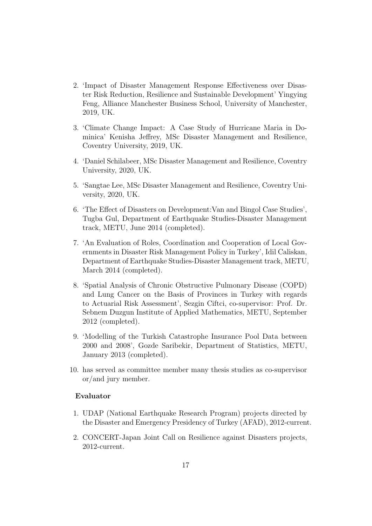- 2. 'Impact of Disaster Management Response Effectiveness over Disaster Risk Reduction, Resilience and Sustainable Development' Yingying Feng, Alliance Manchester Business School, University of Manchester, 2019, UK.
- 3. 'Climate Change Impact: A Case Study of Hurricane Maria in Dominica' Kenisha Jeffrey, MSc Disaster Management and Resilience, Coventry University, 2019, UK.
- 4. 'Daniel Schilabeer, MSc Disaster Management and Resilience, Coventry University, 2020, UK.
- 5. 'Sangtae Lee, MSc Disaster Management and Resilience, Coventry University, 2020, UK.
- 6. 'The Effect of Disasters on Development:Van and Bingol Case Studies', Tugba Gul, Department of Earthquake Studies-Disaster Management track, METU, June 2014 (completed).
- 7. 'An Evaluation of Roles, Coordination and Cooperation of Local Governments in Disaster Risk Management Policy in Turkey', Idil Caliskan, Department of Earthquake Studies-Disaster Management track, METU, March 2014 (completed).
- 8. 'Spatial Analysis of Chronic Obstructive Pulmonary Disease (COPD) and Lung Cancer on the Basis of Provinces in Turkey with regards to Actuarial Risk Assessment', Sezgin Ciftci, co-supervisor: Prof. Dr. Sebnem Duzgun Institute of Applied Mathematics, METU, September 2012 (completed).
- 9. 'Modelling of the Turkish Catastrophe Insurance Pool Data between 2000 and 2008', Gozde Saribekir, Department of Statistics, METU, January 2013 (completed).
- 10. has served as committee member many thesis studies as co-supervisor or/and jury member.

#### Evaluator

- 1. UDAP (National Earthquake Research Program) projects directed by the Disaster and Emergency Presidency of Turkey (AFAD), 2012-current.
- 2. CONCERT-Japan Joint Call on Resilience against Disasters projects, 2012-current.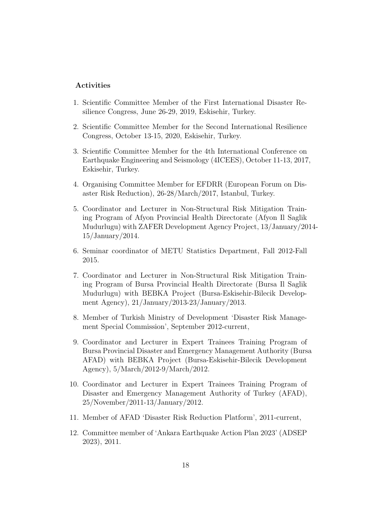# Activities

- 1. Scientific Committee Member of the First International Disaster Resilience Congress, June 26-29, 2019, Eskisehir, Turkey.
- 2. Scientific Committee Member for the Second International Resilience Congress, October 13-15, 2020, Eskisehir, Turkey.
- 3. Scientific Committee Member for the 4th International Conference on Earthquake Engineering and Seismology (4ICEES), October 11-13, 2017, Eskisehir, Turkey.
- 4. Organising Committee Member for EFDRR (European Forum on Disaster Risk Reduction), 26-28/March/2017, Istanbul, Turkey.
- 5. Coordinator and Lecturer in Non-Structural Risk Mitigation Training Program of Afyon Provincial Health Directorate (Afyon Il Saglik Mudurlugu) with ZAFER Development Agency Project, 13/January/2014- 15/January/2014.
- 6. Seminar coordinator of METU Statistics Department, Fall 2012-Fall 2015.
- 7. Coordinator and Lecturer in Non-Structural Risk Mitigation Training Program of Bursa Provincial Health Directorate (Bursa Il Saglik Mudurlugu) with BEBKA Project (Bursa-Eskisehir-Bilecik Development Agency), 21/January/2013-23/January/2013.
- 8. Member of Turkish Ministry of Development 'Disaster Risk Management Special Commission', September 2012-current,
- 9. Coordinator and Lecturer in Expert Trainees Training Program of Bursa Provincial Disaster and Emergency Management Authority (Bursa AFAD) with BEBKA Project (Bursa-Eskisehir-Bilecik Development Agency), 5/March/2012-9/March/2012.
- 10. Coordinator and Lecturer in Expert Trainees Training Program of Disaster and Emergency Management Authority of Turkey (AFAD), 25/November/2011-13/January/2012.
- 11. Member of AFAD 'Disaster Risk Reduction Platform', 2011-current,
- 12. Committee member of 'Ankara Earthquake Action Plan 2023' (ADSEP 2023), 2011.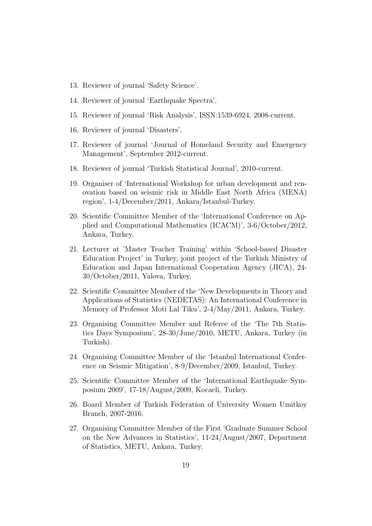- 13. Reviewer of journal 'Safety Science'.
- 14. Reviewer of journal 'Earthquake Spectra'.
- 15. Reviewer of journal 'Risk Analysis', ISSN:1539-6924, 2008-current.
- 16. Reviewer of journal 'Disasters'.
- 17. Reviewer of journal 'Journal of Homeland Security and Emergency Management', September 2012-current.
- 18. Reviewer of journal 'Turkish Statistical Journal', 2010-current.
- 19. Organiser of 'International Workshop for urban development and renovation based on seismic risk in Middle East North Africa (MENA) region', 1-4/December/2011, Ankara/Istanbul-Turkey.
- 20. Scientific Committee Member of the 'International Conference on Applied and Computational Mathematics (ICACM)', 3-6/October/2012, Ankara, Turkey.
- 21. Lecturer at 'Master Teacher Training' within 'School-based Disaster Education Project' in Turkey, joint project of the Turkish Ministry of Education and Japan International Cooperation Agency (JICA), 24- 30/October/2011, Yalova, Turkey.
- 22. Scientific Committee Member of the 'New Developments in Theory and Applications of Statistics (NEDETAS): An International Conference in Memory of Professor Moti Lal Tiku', 2-4/May/2011, Ankara, Turkey.
- 23. Organising Committee Member and Referee of the 'The 7th Statistics Days Symposium', 28-30/June/2010, METU, Ankara, Turkey (in Turkish).
- 24. Organising Committee Member of the 'Istanbul International Conference on Seismic Mitigation', 8-9/December/2009, Istanbul, Turkey.
- 25. Scientific Committee Member of the 'International Earthquake Symposium 2009', 17-18/August/2009, Kocaeli, Turkey.
- 26. Board Member of Turkish Federation of University Women Umitkoy Branch, 2007-2016.
- 27. Organising Committee Member of the First 'Graduate Summer School on the New Advances in Statistics', 11-24/August/2007, Department of Statistics, METU, Ankara, Turkey.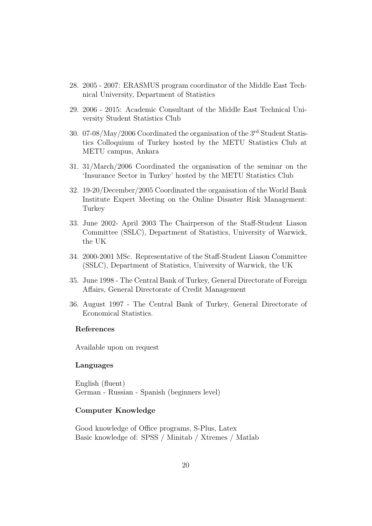- 28. 2005 2007: ERASMUS program coordinator of the Middle East Technical University, Department of Statistics
- 29. 2006 2015: Academic Consultant of the Middle East Technical University Student Statistics Club
- 30. 07-08/May/2006 Coordinated the organisation of the 3rd Student Statistics Colloquium of Turkey hosted by the METU Statistics Club at METU campus, Ankara
- 31. 31/March/2006 Coordinated the organisation of the seminar on the 'Insurance Sector in Turkey' hosted by the METU Statistics Club
- 32. 19-20/December/2005 Coordinated the organisation of the World Bank Institute Expert Meeting on the Online Disaster Risk Management: Turkey
- 33. June 2002- April 2003 The Chairperson of the Staff-Student Liason Committee (SSLC), Department of Statistics, University of Warwick, the UK
- 34. 2000-2001 MSc. Representative of the Staff-Student Liason Committee (SSLC), Department of Statistics, University of Warwick, the UK
- 35. June 1998 The Central Bank of Turkey, General Directorate of Foreign Affairs, General Directorate of Credit Management
- 36. August 1997 The Central Bank of Turkey, General Directorate of Economical Statistics.

# References

Available upon on request

# Languages

English (fluent) German - Russian - Spanish (beginners level)

### Computer Knowledge

Good knowledge of Office programs, S-Plus, Latex Basic knowledge of: SPSS / Minitab / Xtremes / Matlab